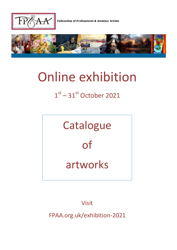

Fellowship of Professional & Amateur Artists



# Online exhibition

# $1<sup>st</sup> - 31<sup>st</sup>$  October 2021



Visit

FPAA.org.uk/exhibition-2021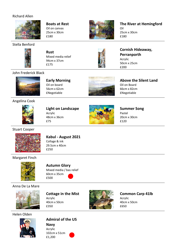#### Richard Allen



#### **Boats at Rest** Oil on canvas 25cm x 30cm £180



### **The River at Hemingford** Oil 25cm x 30cm

£180

# Stella Benford



**Rust** Mixed media relief 94cm x 37cm £175

**Early Morning** Oil on board 56cm x 62cm £Negotiable



# **Cornish Hideaway, Perranporth**

**Above the Silent Land**

Acrylic 50cm x 25cm £200

Oil on Board 66cm x 82cm £Negotiable

# John Frederick Black



# Angelina Cook



**Light on Landscape** Acrylic 48cm x 36cm £75



**Summer Song** Pastel 20cm x 30cm £120

#### Stuart Cooper



**Kabul - August 2021**

Collage & ink 29.5cm x 40cm £250

#### Margaret Finch



#### **Autumn Glory**

Mixed media / bas relief 60cm x 35cm £500

Anna De La Mare



**Cottage in the Mist** Acrylic 40cm x 50cm £350



# **Common Carp 41lb**

Acrylic 40cm x 50cm £650

Helen Olden



**Admiral of the US** 

**Navy** Acrylic 102cm x 51cm £1,200